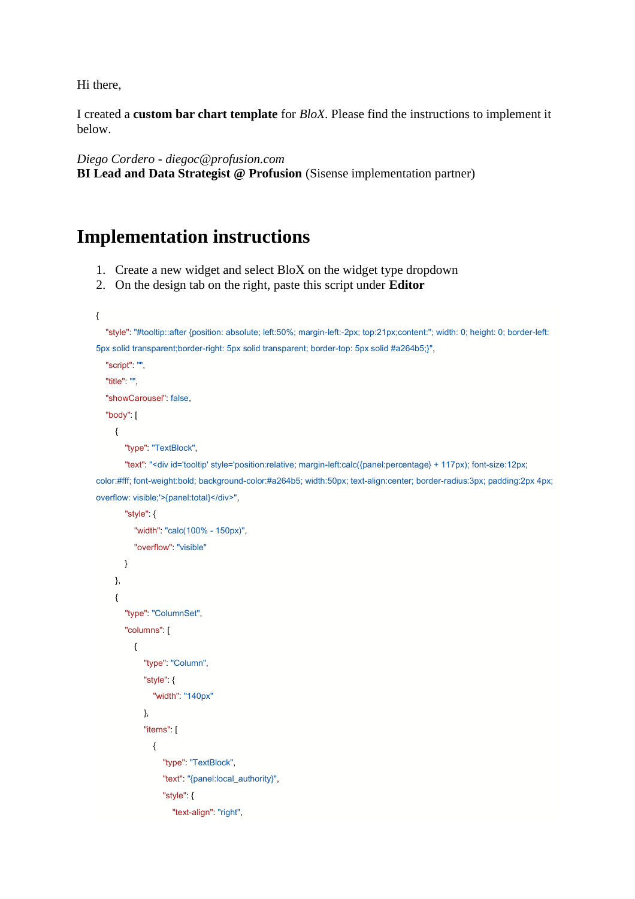Hi there,

I created a **custom bar chart template** for *BloX*. Please find the instructions to implement it below.

*Diego Cordero - diegoc@profusion.com*

**BI Lead and Data Strategist @ Profusion** (Sisense implementation partner)

## **Implementation instructions**

- 1. Create a new widget and select BloX on the widget type dropdown
- 2. On the design tab on the right, paste this script under **Editor**

{

 "style": "#tooltip::after {position: absolute; left:50%; margin-left:-2px; top:21px;content:''; width: 0; height: 0; border-left: 5px solid transparent;border-right: 5px solid transparent; border-top: 5px solid #a264b5;}",

```
 "script": "",
 "title": "",
"showCarousel" false,
 "body": [
   {
```

```
"type": "TextBlock",
```
"text": "<div id='tooltip' style='position:relative; margin-left:calc({panel:percentage} + 117px); font-size:12px; color:#fff; font-weight:bold; background-color:#a264b5; width:50px; text-align:center; border-radius:3px; padding:2px 4px; overflow: visible;'>{panel:total}</div>",

```
 "style": {
           "width": "calc(100% - 150px)",
          "overflow": "visible"
        }
     },
     {
       "type": "ColumnSet",
        "columns": [
           {
            "type" "Column",
             "style": {
               "width" "140px"
             },
              "items": [
\{"type": "TextBlock",
                  "text": "{panel:local_authority}",
                   "style": {
                     "text-align": "right",
```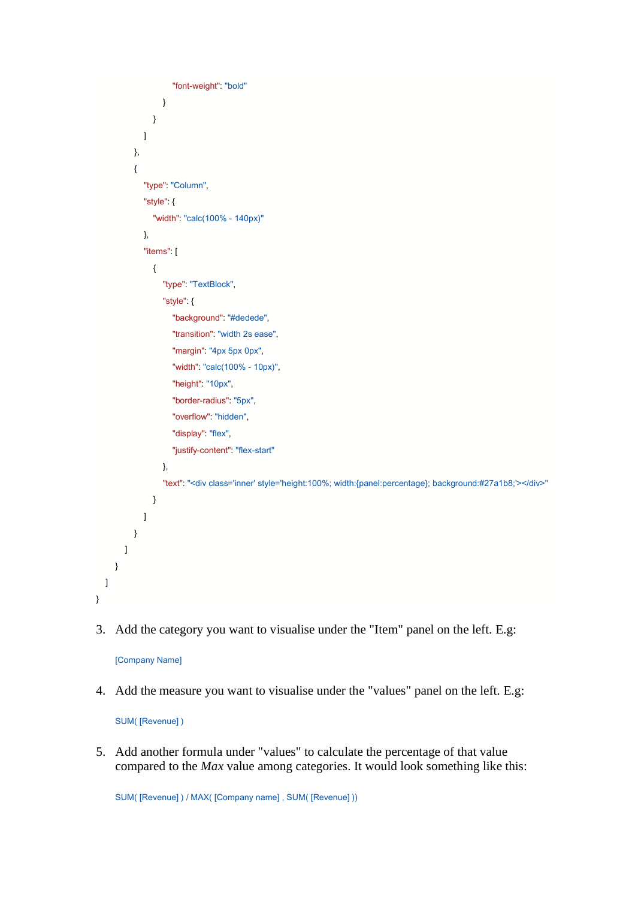```
"font-weight": "bold"
 }
 }
            ]
          },
          {
            "type": "Column",
            "style": {
              "width" "calc(100% - 140px)"
            },
             "items": [
\{"type": "TextBlock",
                 "style": {
                    "background": "#dedede",
                   "transition": "width 2s ease",
                   "margin": "4px 5px 0px",
                    "width": "calc(100% - 10px)",
                   "height": "10px",
                    "border-radius": "5px",
                    "overflow": "hidden",
                   "display": "flex",
                    "justify-content": "flex-start"
                 },
                "text": "<div class='inner' style='height:100%; width:{panel:percentage}; background:#27a1b8;'></div>"
 }
            ]
          }
       ]
     }
 \overline{1}
```
3. Add the category you want to visualise under the "Item" panel on the left. E.g:

[Company Name]

}

4. Add the measure you want to visualise under the "values" panel on the left. E.g:

SUM( [Revenue] )

5. Add another formula under "values" to calculate the percentage of that value compared to the *Max* value among categories. It would look something like this:

SUM( [Revenue] ) / MAX( [Company name] , SUM( [Revenue] ))